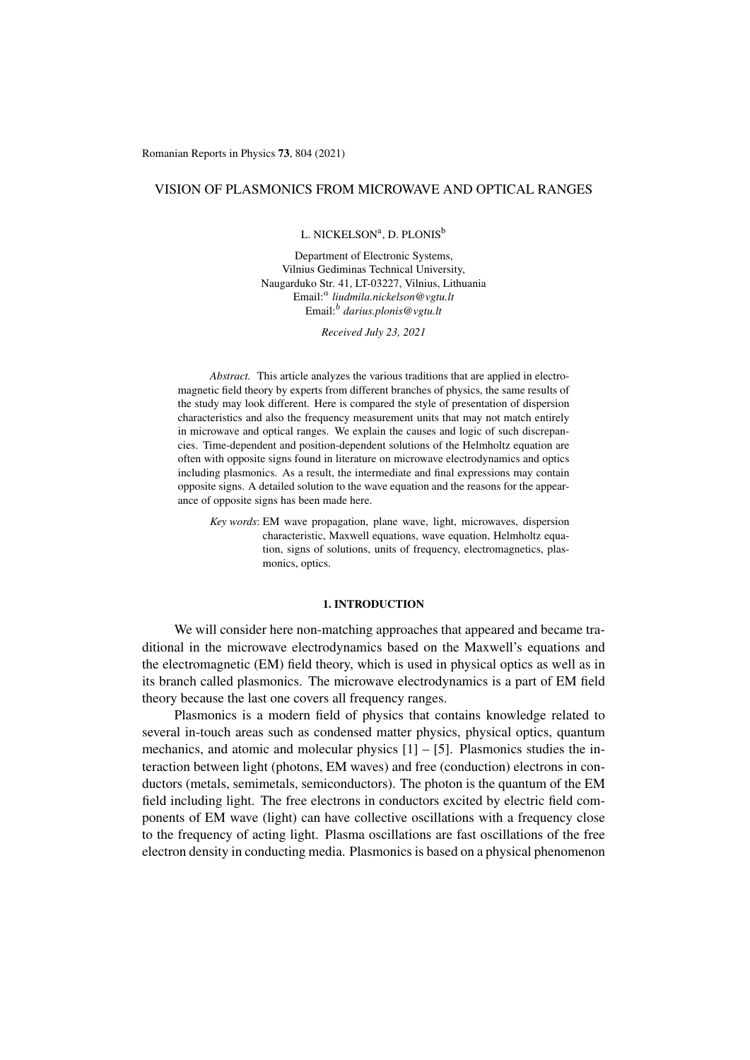Romanian Reports in Physics 73, 804 (2021)

# VISION OF PLASMONICS FROM MICROWAVE AND OPTICAL RANGES

## L. NICKELSON<sup>a</sup>, D. PLONIS<sup>b</sup>

Department of Electronic Systems, Vilnius Gediminas Technical University, Naugarduko Str. 41, LT-03227, Vilnius, Lithuania Email:<sup>a</sup> liudmila.nickelson@vgtu.lt Email:<sup>b</sup> *darius.plonis@vgtu.lt*

*Received July 23, 2021*

*Abstract.* This article analyzes the various traditions that are applied in electromagnetic field theory by experts from different branches of physics, the same results of the study may look different. Here is compared the style of presentation of dispersion characteristics and also the frequency measurement units that may not match entirely in microwave and optical ranges. We explain the causes and logic of such discrepancies. Time-dependent and position-dependent solutions of the Helmholtz equation are often with opposite signs found in literature on microwave electrodynamics and optics including plasmonics. As a result, the intermediate and final expressions may contain opposite signs. A detailed solution to the wave equation and the reasons for the appearance of opposite signs has been made here.

*Key words*: EM wave propagation, plane wave, light, microwaves, dispersion characteristic, Maxwell equations, wave equation, Helmholtz equation, signs of solutions, units of frequency, electromagnetics, plasmonics, optics.

## 1. INTRODUCTION

We will consider here non-matching approaches that appeared and became traditional in the microwave electrodynamics based on the Maxwell's equations and the electromagnetic (EM) field theory, which is used in physical optics as well as in its branch called plasmonics. The microwave electrodynamics is a part of EM field theory because the last one covers all frequency ranges.

Plasmonics is a modern field of physics that contains knowledge related to several in-touch areas such as condensed matter physics, physical optics, quantum mechanics, and atomic and molecular physics  $[1] - [5]$  $[1] - [5]$  $[1] - [5]$ . Plasmonics studies the interaction between light (photons, EM waves) and free (conduction) electrons in conductors (metals, semimetals, semiconductors). The photon is the quantum of the EM field including light. The free electrons in conductors excited by electric field components of EM wave (light) can have collective oscillations with a frequency close to the frequency of acting light. Plasma oscillations are fast oscillations of the free electron density in conducting media. Plasmonics is based on a physical phenomenon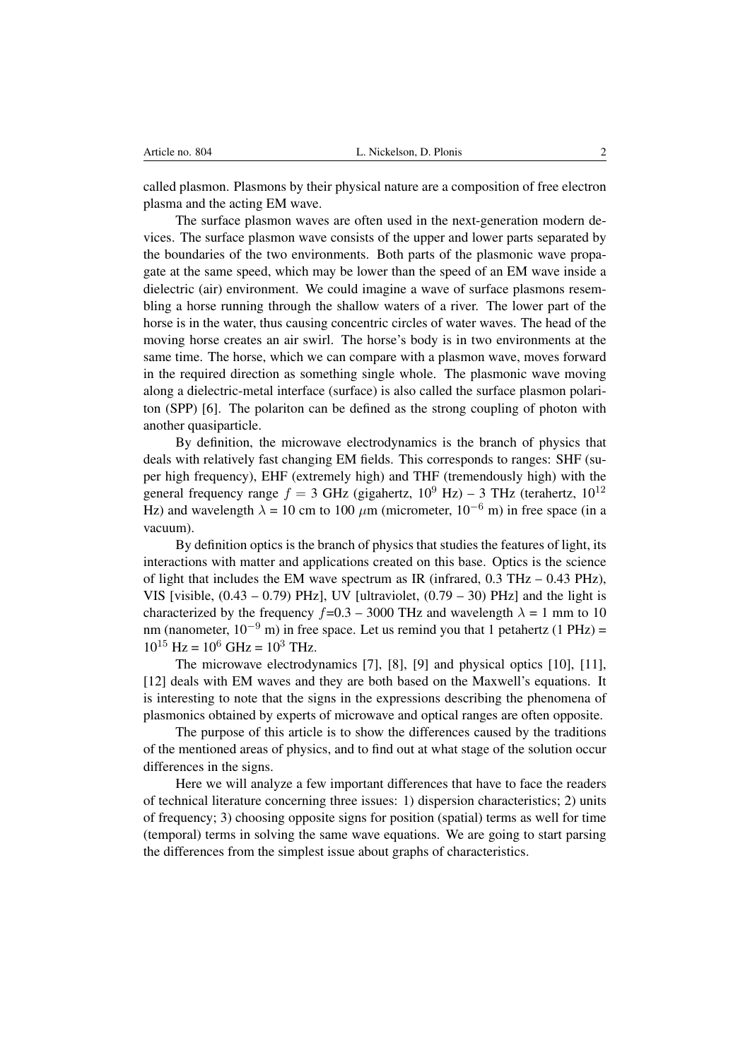called plasmon. Plasmons by their physical nature are a composition of free electron plasma and the acting EM wave.

The surface plasmon waves are often used in the next-generation modern devices. The surface plasmon wave consists of the upper and lower parts separated by the boundaries of the two environments. Both parts of the plasmonic wave propagate at the same speed, which may be lower than the speed of an EM wave inside a dielectric (air) environment. We could imagine a wave of surface plasmons resembling a horse running through the shallow waters of a river. The lower part of the horse is in the water, thus causing concentric circles of water waves. The head of the moving horse creates an air swirl. The horse's body is in two environments at the same time. The horse, which we can compare with a plasmon wave, moves forward in the required direction as something single whole. The plasmonic wave moving along a dielectric-metal interface (surface) is also called the surface plasmon polariton (SPP) [\[6\]](#page-14-2). The polariton can be defined as the strong coupling of photon with another quasiparticle.

By definition, the microwave electrodynamics is the branch of physics that deals with relatively fast changing EM fields. This corresponds to ranges: SHF (super high frequency), EHF (extremely high) and THF (tremendously high) with the general frequency range  $f = 3$  GHz (gigahertz,  $10^9$  Hz) – 3 THz (terahertz,  $10^{12}$ Hz) and wavelength  $\lambda = 10$  cm to 100  $\mu$ m (micrometer, 10<sup>-6</sup> m) in free space (in a vacuum).

By definition optics is the branch of physics that studies the features of light, its interactions with matter and applications created on this base. Optics is the science of light that includes the EM wave spectrum as IR (infrared,  $0.3 \text{ THz} - 0.43 \text{ PHz}$ ), VIS [visible,  $(0.43 - 0.79)$  PHz], UV [ultraviolet,  $(0.79 - 30)$  PHz] and the light is characterized by the frequency  $f=0.3 - 3000$  THz and wavelength  $\lambda = 1$  mm to 10 nm (nanometer,  $10^{-9}$  m) in free space. Let us remind you that 1 petahertz (1 PHz) =  $10^{15}$  Hz =  $10^6$  GHz =  $10^3$  THz.

The microwave electrodynamics [\[7\]](#page-14-3), [\[8\]](#page-14-4), [\[9\]](#page-14-5) and physical optics [\[10\]](#page-15-0), [\[11\]](#page-15-1), [\[12\]](#page-15-2) deals with EM waves and they are both based on the Maxwell's equations. It is interesting to note that the signs in the expressions describing the phenomena of plasmonics obtained by experts of microwave and optical ranges are often opposite.

The purpose of this article is to show the differences caused by the traditions of the mentioned areas of physics, and to find out at what stage of the solution occur differences in the signs.

Here we will analyze a few important differences that have to face the readers of technical literature concerning three issues: 1) dispersion characteristics; 2) units of frequency; 3) choosing opposite signs for position (spatial) terms as well for time (temporal) terms in solving the same wave equations. We are going to start parsing the differences from the simplest issue about graphs of characteristics.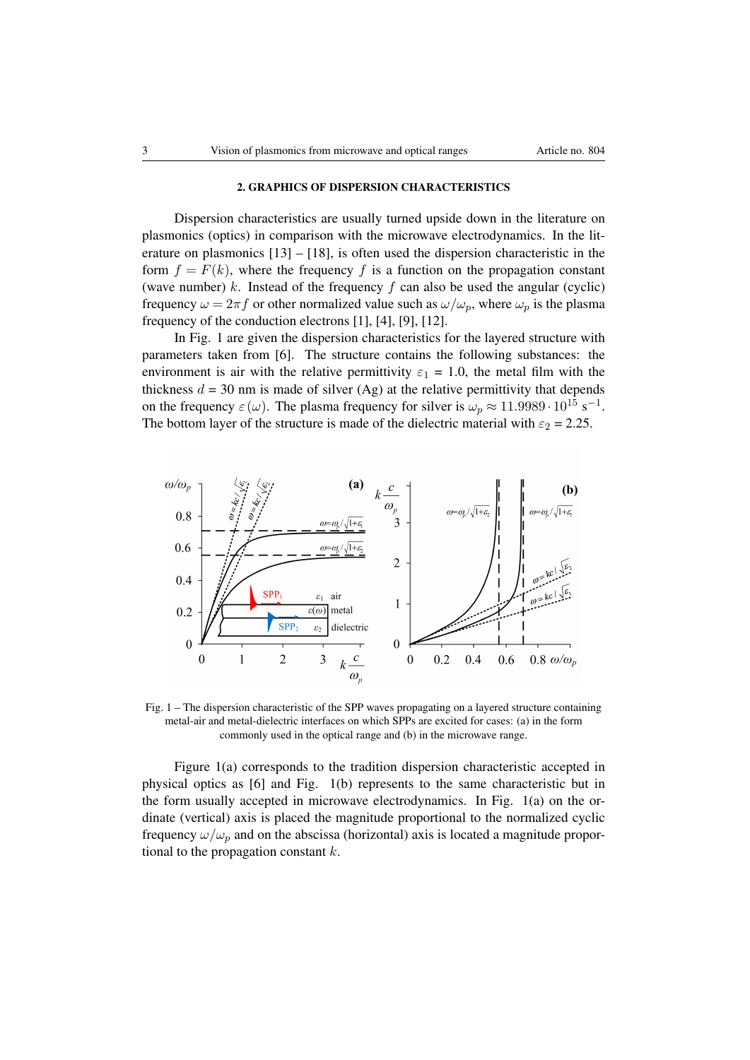## 2. GRAPHICS OF DISPERSION CHARACTERISTICS

Dispersion characteristics are usually turned upside down in the literature on plasmonics (optics) in comparison with the microwave electrodynamics. In the literature on plasmonics  $[13] - [18]$  $[13] - [18]$  $[13] - [18]$ , is often used the dispersion characteristic in the form  $f = F(k)$ , where the frequency f is a function on the propagation constant (wave number) k. Instead of the frequency  $f$  can also be used the angular (cyclic) frequency  $\omega = 2\pi f$  or other normalized value such as  $\omega/\omega_p$ , where  $\omega_p$  is the plasma frequency of the conduction electrons [\[1\]](#page-14-0), [\[4\]](#page-14-6), [\[9\]](#page-14-5), [\[12\]](#page-15-2).

In Fig. [1](#page-2-0) are given the dispersion characteristics for the layered structure with parameters taken from [\[6\]](#page-14-2). The structure contains the following substances: the environment is air with the relative permittivity  $\varepsilon_1 = 1.0$ , the metal film with the thickness  $d = 30$  nm is made of silver (Ag) at the relative permittivity that depends on the frequency  $\varepsilon(\omega)$ . The plasma frequency for silver is  $\omega_p \approx 11.9989 \cdot 10^{15} \text{ s}^{-1}$ . The bottom layer of the structure is made of the dielectric material with  $\varepsilon_2 = 2.25$ .



<span id="page-2-0"></span>Fig. 1 – The dispersion characteristic of the SPP waves propagating on a layered structure containing metal-air and metal-dielectric interfaces on which SPPs are excited for cases: (a) in the form commonly used in the optical range and (b) in the microwave range.

Figure [1\(](#page-2-0)a) corresponds to the tradition dispersion characteristic accepted in physical optics as [\[6\]](#page-14-2) and Fig. [1\(](#page-2-0)b) represents to the same characteristic but in the form usually accepted in microwave electrodynamics. In Fig. [1\(](#page-2-0)a) on the ordinate (vertical) axis is placed the magnitude proportional to the normalized cyclic frequency  $\omega/\omega_n$  and on the abscissa (horizontal) axis is located a magnitude proportional to the propagation constant  $k$ .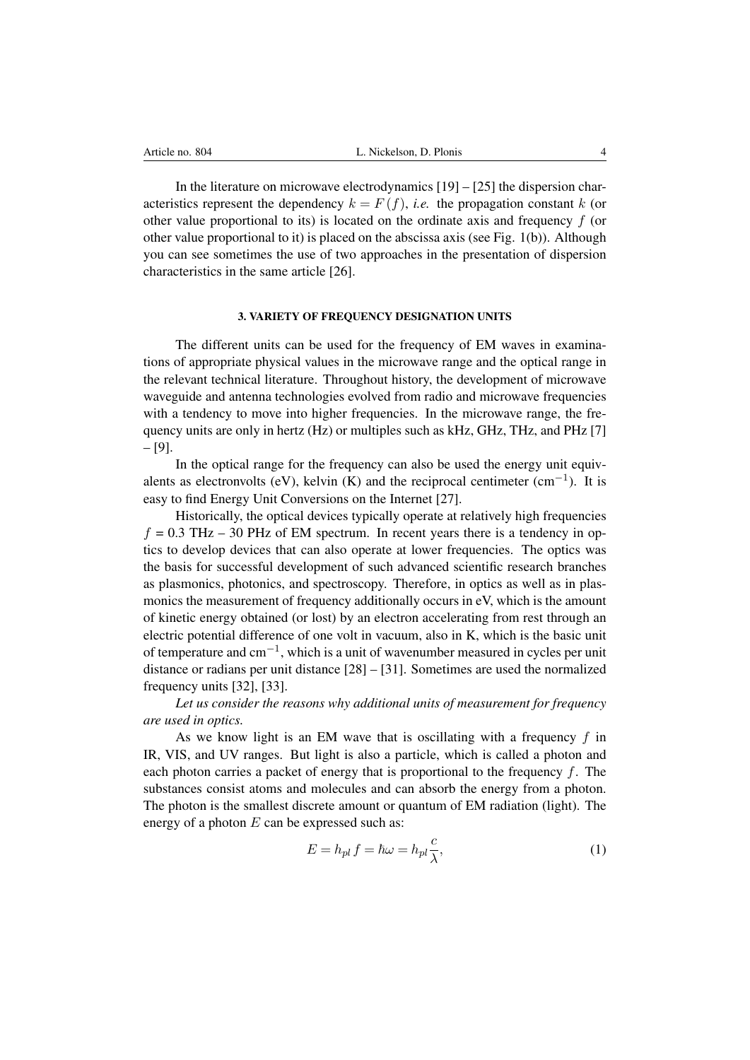In the literature on microwave electrodynamics  $[19] - [25]$  $[19] - [25]$  $[19] - [25]$  the dispersion characteristics represent the dependency  $k = F(f)$ , *i.e.* the propagation constant k (or other value proportional to its) is located on the ordinate axis and frequency  $f$  (or other value proportional to it) is placed on the abscissa axis (see Fig. [1\(](#page-2-0)b)). Although you can see sometimes the use of two approaches in the presentation of dispersion characteristics in the same article [\[26\]](#page-15-7).

### 3. VARIETY OF FREQUENCY DESIGNATION UNITS

The different units can be used for the frequency of EM waves in examinations of appropriate physical values in the microwave range and the optical range in the relevant technical literature. Throughout history, the development of microwave waveguide and antenna technologies evolved from radio and microwave frequencies with a tendency to move into higher frequencies. In the microwave range, the frequency units are only in hertz (Hz) or multiples such as kHz, GHz, THz, and PHz [\[7\]](#page-14-3) – [\[9\]](#page-14-5).

In the optical range for the frequency can also be used the energy unit equivalents as electronvolts (eV), kelvin (K) and the reciprocal centimeter  $(cm<sup>-1</sup>)$ . It is easy to find Energy Unit Conversions on the Internet [\[27\]](#page-15-8).

Historically, the optical devices typically operate at relatively high frequencies  $f = 0.3$  THz – 30 PHz of EM spectrum. In recent years there is a tendency in optics to develop devices that can also operate at lower frequencies. The optics was the basis for successful development of such advanced scientific research branches as plasmonics, photonics, and spectroscopy. Therefore, in optics as well as in plasmonics the measurement of frequency additionally occurs in eV, which is the amount of kinetic energy obtained (or lost) by an electron accelerating from rest through an electric potential difference of one volt in vacuum, also in K, which is the basic unit of temperature and cm−<sup>1</sup> , which is a unit of wavenumber measured in cycles per unit distance or radians per unit distance [\[28\]](#page-15-9) – [\[31\]](#page-15-10). Sometimes are used the normalized frequency units [\[32\]](#page-16-0), [\[33\]](#page-16-1).

*Let us consider the reasons why additional units of measurement for frequency are used in optics.*

As we know light is an EM wave that is oscillating with a frequency  $f$  in IR, VIS, and UV ranges. But light is also a particle, which is called a photon and each photon carries a packet of energy that is proportional to the frequency  $f$ . The substances consist atoms and molecules and can absorb the energy from a photon. The photon is the smallest discrete amount or quantum of EM radiation (light). The energy of a photon  $E$  can be expressed such as:

$$
E = h_{pl} f = \hbar \omega = h_{pl} \frac{c}{\lambda},\tag{1}
$$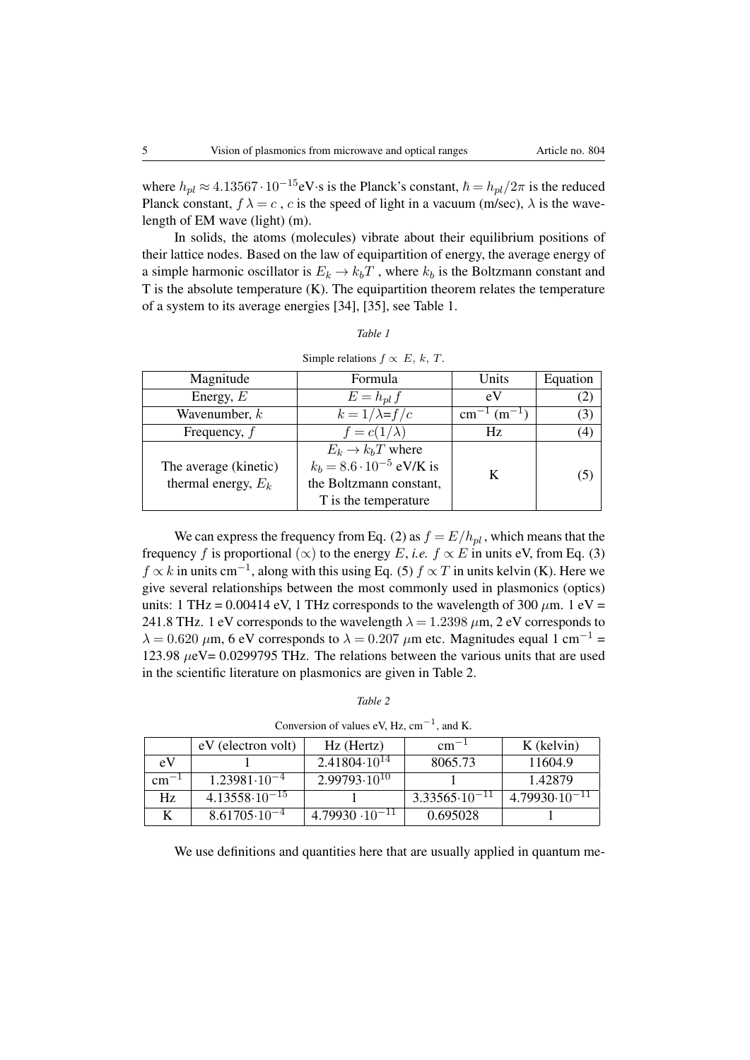where  $h_{pl} \approx 4.13567 \cdot 10^{-15}$ eV $\cdot$ s is the Planck's constant,  $\hbar = h_{pl}/2\pi$  is the reduced Planck constant,  $f \lambda = c$ , c is the speed of light in a vacuum (m/sec),  $\lambda$  is the wavelength of EM wave (light) (m).

In solids, the atoms (molecules) vibrate about their equilibrium positions of their lattice nodes. Based on the law of equipartition of energy, the average energy of a simple harmonic oscillator is  $E_k \to k_bT$ , where  $k_b$  is the Boltzmann constant and  $T$  is the absolute temperature  $(K)$ . The equipartition theorem relates the temperature of a system to its average energies [\[34\]](#page-16-2), [\[35\]](#page-16-3), see Table [1.](#page-4-0)

| Magnitude                                      | Formula                                                                                                               | Units                | Equation         |  |
|------------------------------------------------|-----------------------------------------------------------------------------------------------------------------------|----------------------|------------------|--|
| Energy, $E$                                    | $E = h_{pl} f$                                                                                                        | eV                   |                  |  |
| Wavenumber, $k$                                | $k = 1/\lambda = f/c$                                                                                                 | $cm^{-1}$ $(m^{-1})$ | (3)              |  |
| Frequency, $f$                                 | $f = c(1/\lambda)$                                                                                                    | Hz.                  | $\left(4\right)$ |  |
| The average (kinetic)<br>thermal energy, $E_k$ | $E_k \rightarrow k_b T$ where<br>$k_b = 8.6 \cdot 10^{-5}$ eV/K is<br>the Boltzmann constant,<br>T is the temperature | K                    | $\mathcal{L}$    |  |

<span id="page-4-0"></span>*Table 1* Simple relations  $f \propto E$ , k, T.

We can express the frequency from Eq. (2) as  $f = E/h_{pl}$ , which means that the frequency f is proportional  $(\infty)$  to the energy E, *i.e.*  $f \propto E$  in units eV, from Eq. (3)  $f \propto k$  in units cm<sup>-1</sup>, along with this using Eq. (5)  $f \propto T$  in units kelvin (K). Here we give several relationships between the most commonly used in plasmonics (optics) units: 1 THz = 0.00414 eV, 1 THz corresponds to the wavelength of 300  $\mu$ m. 1 eV = 241.8 THz. 1 eV corresponds to the wavelength  $\lambda = 1.2398 \,\mu$ m, 2 eV corresponds to  $\lambda = 0.620 \ \mu \text{m}$ , 6 eV corresponds to  $\lambda = 0.207 \ \mu \text{m}$  etc. Magnitudes equal 1 cm<sup>-1</sup> = 123.98 µeV= 0.0299795 THz. The relations between the various units that are used in the scientific literature on plasmonics are given in Table [2.](#page-4-1)

| Conversion of values eV, Hz, $cm^{-1}$ , and K. |                          |                          |                          |                          |  |  |
|-------------------------------------------------|--------------------------|--------------------------|--------------------------|--------------------------|--|--|
|                                                 | eV (electron volt)       | $Hz$ (Hertz)             | $\rm cm^{-1}$            | K (kelvin)               |  |  |
| eV                                              |                          | $2.41804 \cdot 10^{14}$  | 8065.73                  | 11604.9                  |  |  |
| $cm^{-1}$                                       | $1.23981 \cdot 10^{-4}$  | $2.99793 \cdot 10^{10}$  |                          | 1.42879                  |  |  |
| Hz                                              | $4.13558 \cdot 10^{-15}$ |                          | $3.33565 \cdot 10^{-11}$ | $4.79930 \cdot 10^{-11}$ |  |  |
|                                                 | $8.61705 \cdot 10^{-4}$  | $4.79930 \cdot 10^{-11}$ | 0.695028                 |                          |  |  |

<span id="page-4-1"></span>*Table 2*

We use definitions and quantities here that are usually applied in quantum me-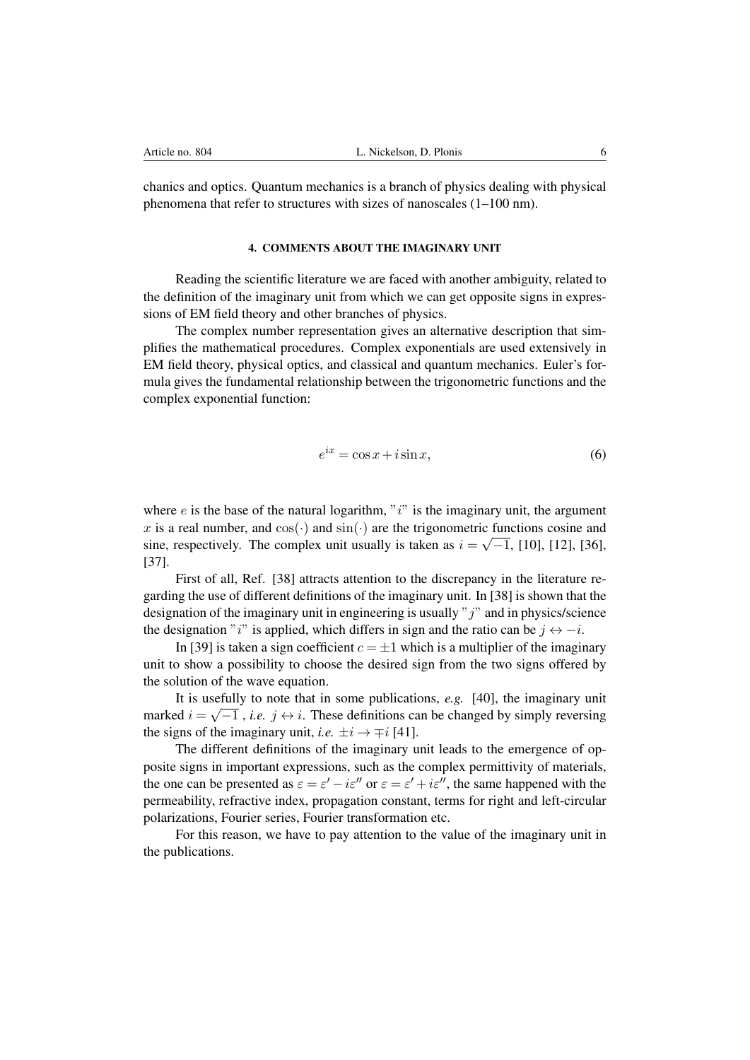chanics and optics. Quantum mechanics is a branch of physics dealing with physical phenomena that refer to structures with sizes of nanoscales (1–100 nm).

## 4. COMMENTS ABOUT THE IMAGINARY UNIT

Reading the scientific literature we are faced with another ambiguity, related to the definition of the imaginary unit from which we can get opposite signs in expressions of EM field theory and other branches of physics.

The complex number representation gives an alternative description that simplifies the mathematical procedures. Complex exponentials are used extensively in EM field theory, physical optics, and classical and quantum mechanics. Euler's formula gives the fundamental relationship between the trigonometric functions and the complex exponential function:

$$
e^{ix} = \cos x + i \sin x,\tag{6}
$$

where  $e$  is the base of the natural logarithm, " $i$ " is the imaginary unit, the argument x is a real number, and  $cos(·)$  and  $sin(·)$  are the trigonometric functions cosine and sine, respectively. The complex unit usually is taken as  $i = \sqrt{-1}$ , [\[10\]](#page-15-0), [\[12\]](#page-15-2), [\[36\]](#page-16-4), [\[37\]](#page-16-5).

First of all, Ref. [\[38\]](#page-16-6) attracts attention to the discrepancy in the literature regarding the use of different definitions of the imaginary unit. In [\[38\]](#page-16-6) is shown that the designation of the imaginary unit in engineering is usually " $j$ " and in physics/science the designation "i" is applied, which differs in sign and the ratio can be  $i \leftrightarrow -i$ .

In [\[39\]](#page-16-7) is taken a sign coefficient  $c = \pm 1$  which is a multiplier of the imaginary unit to show a possibility to choose the desired sign from the two signs offered by the solution of the wave equation.

It is usefully to note that in some publications, *e.g.* [\[40\]](#page-16-8), the imaginary unit marked  $i = \sqrt{-1}$ , *i.e.*  $j \leftrightarrow i$ . These definitions can be changed by simply reversing the signs of the imaginary unit, *i.e.*  $\pm i \rightarrow \mp i$  [\[41\]](#page-16-9).

The different definitions of the imaginary unit leads to the emergence of opposite signs in important expressions, such as the complex permittivity of materials, the one can be presented as  $\varepsilon = \varepsilon' - i\varepsilon''$  or  $\varepsilon = \varepsilon' + i\varepsilon''$ , the same happened with the permeability, refractive index, propagation constant, terms for right and left-circular polarizations, Fourier series, Fourier transformation etc.

For this reason, we have to pay attention to the value of the imaginary unit in the publications.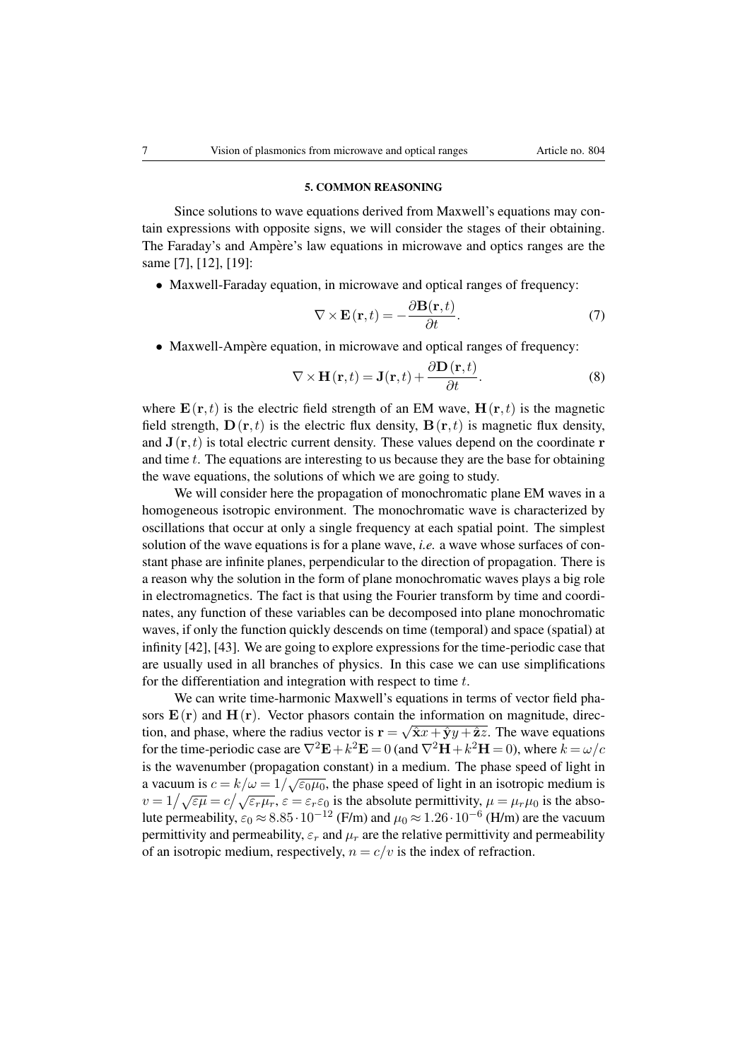## 5. COMMON REASONING

Since solutions to wave equations derived from Maxwell's equations may contain expressions with opposite signs, we will consider the stages of their obtaining. The Faraday's and Ampère's law equations in microwave and optics ranges are the same [\[7\]](#page-14-3), [\[12\]](#page-15-2), [\[19\]](#page-15-5):

• Maxwell-Faraday equation, in microwave and optical ranges of frequency:

$$
\nabla \times \mathbf{E}(\mathbf{r},t) = -\frac{\partial \mathbf{B}(\mathbf{r},t)}{\partial t}.
$$
 (7)

• Maxwell-Ampère equation, in microwave and optical ranges of frequency:

$$
\nabla \times \mathbf{H}(\mathbf{r},t) = \mathbf{J}(\mathbf{r},t) + \frac{\partial \mathbf{D}(\mathbf{r},t)}{\partial t}.
$$
 (8)

where  $\mathbf{E}(\mathbf{r}, t)$  is the electric field strength of an EM wave,  $\mathbf{H}(\mathbf{r}, t)$  is the magnetic field strength,  $\mathbf{D}(\mathbf{r},t)$  is the electric flux density,  $\mathbf{B}(\mathbf{r},t)$  is magnetic flux density, and  $J(r, t)$  is total electric current density. These values depend on the coordinate r and time  $t$ . The equations are interesting to us because they are the base for obtaining the wave equations, the solutions of which we are going to study.

We will consider here the propagation of monochromatic plane EM waves in a homogeneous isotropic environment. The monochromatic wave is characterized by oscillations that occur at only a single frequency at each spatial point. The simplest solution of the wave equations is for a plane wave, *i.e.* a wave whose surfaces of constant phase are infinite planes, perpendicular to the direction of propagation. There is a reason why the solution in the form of plane monochromatic waves plays a big role in electromagnetics. The fact is that using the Fourier transform by time and coordinates, any function of these variables can be decomposed into plane monochromatic waves, if only the function quickly descends on time (temporal) and space (spatial) at infinity [\[42\]](#page-16-10), [\[43\]](#page-16-11). We are going to explore expressions for the time-periodic case that are usually used in all branches of physics. In this case we can use simplifications for the differentiation and integration with respect to time  $t$ .

We can write time-harmonic Maxwell's equations in terms of vector field phasors  $\mathbf{E}(\mathbf{r})$  and  $\mathbf{H}(\mathbf{r})$ . Vector phasors contain the information on magnitude, direction, and phase, where the radius vector is  $\mathbf{r} = \sqrt{\hat{\mathbf{x}}x + \hat{\mathbf{y}}y + \hat{\mathbf{z}}z}$ . The wave equations for the time-periodic case are  $\nabla^2 \mathbf{E} + k^2 \mathbf{E} = 0$  (and  $\nabla^2 \mathbf{H} + k^2 \mathbf{H} = 0$ ), where  $k = \omega/c$ is the wavenumber (propagation constant) in a medium. The phase speed of light in a vacuum is  $c = k/\omega = 1/\sqrt{\epsilon_0\mu_0}$ , the phase speed of light in an isotropic medium is  $v = 1/\sqrt{\epsilon\mu} = c/\sqrt{\epsilon_r\mu_r}$ ,  $\varepsilon = \epsilon_r\varepsilon_0$  is the absolute permittivity,  $\mu = \mu_r\mu_0$  is the absolute permeability,  $\varepsilon_0 \approx 8.85 \cdot 10^{-12}$  (F/m) and  $\mu_0 \approx 1.26 \cdot 10^{-6}$  (H/m) are the vacuum permittivity and permeability,  $\varepsilon_r$  and  $\mu_r$  are the relative permittivity and permeability of an isotropic medium, respectively,  $n = c/v$  is the index of refraction.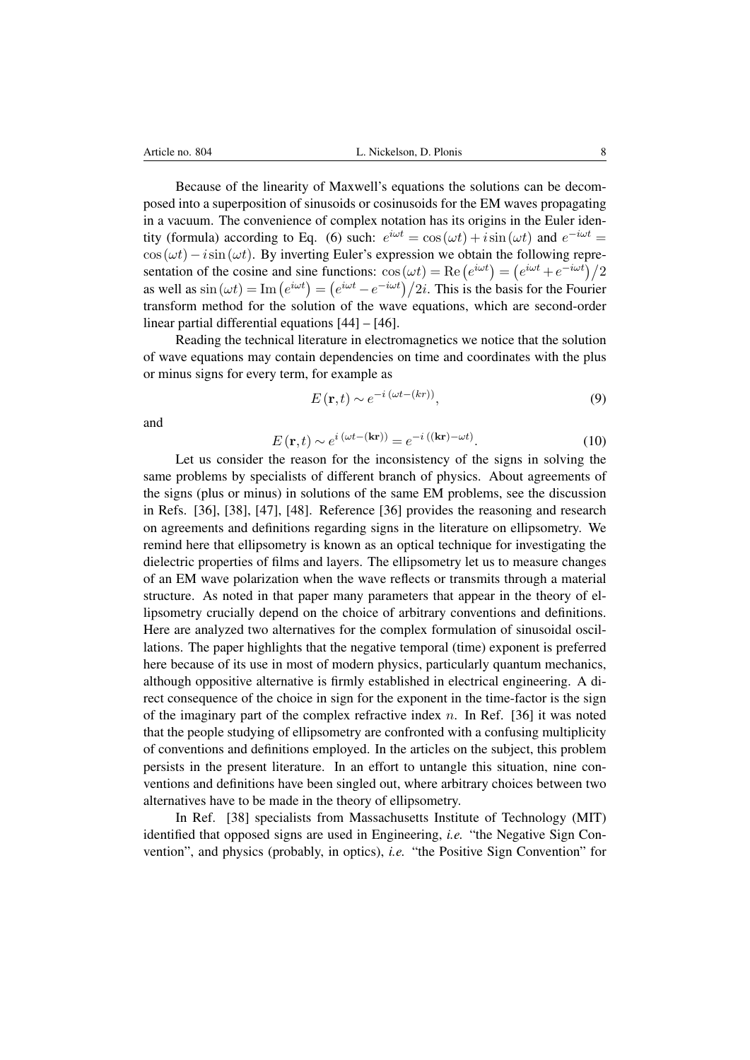Because of the linearity of Maxwell's equations the solutions can be decomposed into a superposition of sinusoids or cosinusoids for the EM waves propagating in a vacuum. The convenience of complex notation has its origins in the Euler identity (formula) according to Eq. (6) such:  $e^{i\omega t} = \cos(\omega t) + i\sin(\omega t)$  and  $e^{-i\omega t} =$  $\cos(\omega t) - i\sin(\omega t)$ . By inverting Euler's expression we obtain the following representation of the cosine and sine functions:  $cos(\omega t) = \text{Re}(e^{i\omega t}) = (e^{i\omega t} + e^{-i\omega t})/2$ as well as  $\sin(\omega t) = \text{Im}(e^{i\omega t}) = (e^{i\omega t} - e^{-i\omega t})/2i$ . This is the basis for the Fourier transform method for the solution of the wave equations, which are second-order linear partial differential equations [\[44\]](#page-16-12) – [\[46\]](#page-16-13).

Reading the technical literature in electromagnetics we notice that the solution of wave equations may contain dependencies on time and coordinates with the plus or minus signs for every term, for example as

$$
E(\mathbf{r},t) \sim e^{-i\left(\omega t - (kr)\right)},\tag{9}
$$

and

$$
E(\mathbf{r},t) \sim e^{i(\omega t - (\mathbf{kr}))} = e^{-i((\mathbf{kr}) - \omega t)}.
$$
 (10)

Let us consider the reason for the inconsistency of the signs in solving the same problems by specialists of different branch of physics. About agreements of the signs (plus or minus) in solutions of the same EM problems, see the discussion in Refs. [\[36\]](#page-16-4), [\[38\]](#page-16-6), [\[47\]](#page-16-14), [\[48\]](#page-16-15). Reference [\[36\]](#page-16-4) provides the reasoning and research on agreements and definitions regarding signs in the literature on ellipsometry. We remind here that ellipsometry is known as an optical technique for investigating the dielectric properties of films and layers. The ellipsometry let us to measure changes of an EM wave polarization when the wave reflects or transmits through a material structure. As noted in that paper many parameters that appear in the theory of ellipsometry crucially depend on the choice of arbitrary conventions and definitions. Here are analyzed two alternatives for the complex formulation of sinusoidal oscillations. The paper highlights that the negative temporal (time) exponent is preferred here because of its use in most of modern physics, particularly quantum mechanics, although oppositive alternative is firmly established in electrical engineering. A direct consequence of the choice in sign for the exponent in the time-factor is the sign of the imaginary part of the complex refractive index n. In Ref.  $[36]$  it was noted that the people studying of ellipsometry are confronted with a confusing multiplicity of conventions and definitions employed. In the articles on the subject, this problem persists in the present literature. In an effort to untangle this situation, nine conventions and definitions have been singled out, where arbitrary choices between two alternatives have to be made in the theory of ellipsometry.

In Ref. [\[38\]](#page-16-6) specialists from Massachusetts Institute of Technology (MIT) identified that opposed signs are used in Engineering, *i.e.* "the Negative Sign Convention", and physics (probably, in optics), *i.e.* "the Positive Sign Convention" for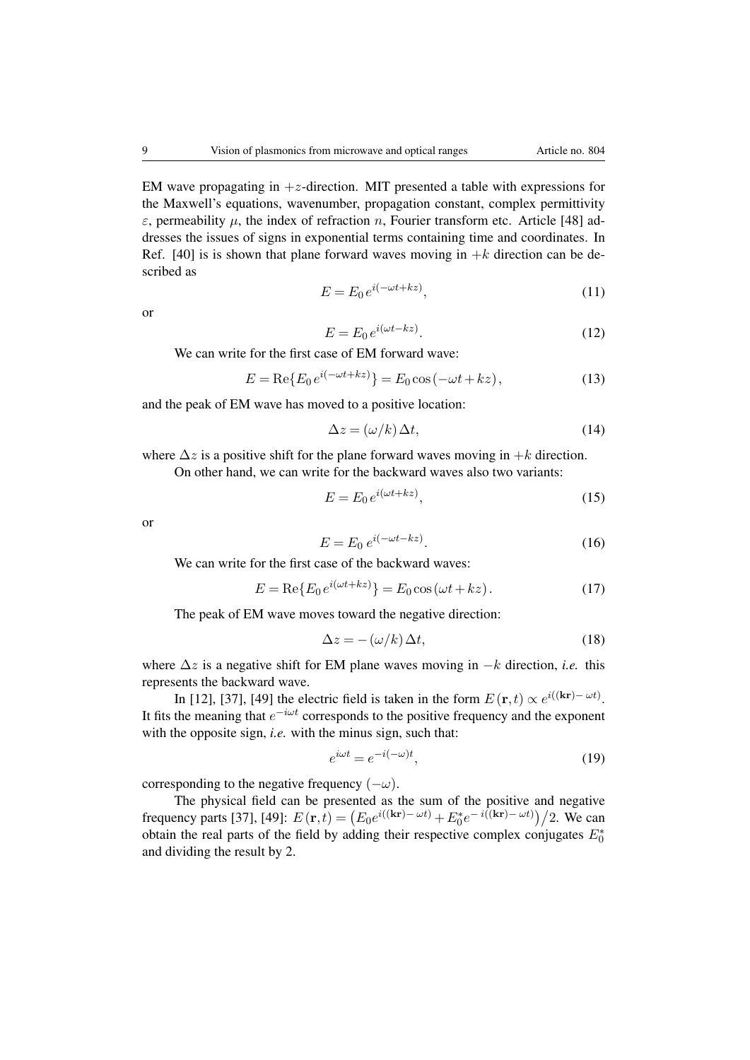EM wave propagating in  $+z$ -direction. MIT presented a table with expressions for the Maxwell's equations, wavenumber, propagation constant, complex permittivity  $\varepsilon$ , permeability  $\mu$ , the index of refraction n, Fourier transform etc. Article [\[48\]](#page-16-15) addresses the issues of signs in exponential terms containing time and coordinates. In Ref. [\[40\]](#page-16-8) is is shown that plane forward waves moving in  $+k$  direction can be described as

$$
E = E_0 e^{i(-\omega t + kz)},\tag{11}
$$

or

$$
E = E_0 e^{i(\omega t - kz)}.
$$
\n(12)

We can write for the first case of EM forward wave:

$$
E = \text{Re}\{E_0 e^{i(-\omega t + kz)}\} = E_0 \cos(-\omega t + kz),\tag{13}
$$

and the peak of EM wave has moved to a positive location:

$$
\Delta z = (\omega/k)\,\Delta t,\tag{14}
$$

where  $\Delta z$  is a positive shift for the plane forward waves moving in  $+k$  direction.

On other hand, we can write for the backward waves also two variants:

$$
E = E_0 e^{i(\omega t + kz)},\tag{15}
$$

or

$$
E = E_0 e^{i(-\omega t - kz)}.
$$
\n<sup>(16)</sup>

We can write for the first case of the backward waves:

$$
E = \text{Re}\{E_0 e^{i(\omega t + kz)}\} = E_0 \cos(\omega t + kz). \tag{17}
$$

The peak of EM wave moves toward the negative direction:

$$
\Delta z = -(\omega/k)\,\Delta t,\tag{18}
$$

where  $\Delta z$  is a negative shift for EM plane waves moving in  $-k$  direction, *i.e.* this represents the backward wave.

In [\[12\]](#page-15-2), [\[37\]](#page-16-5), [\[49\]](#page-16-16) the electric field is taken in the form  $E(\mathbf{r},t) \propto e^{i((\mathbf{kr}) - \omega t)}$ . It fits the meaning that  $e^{-i\omega t}$  corresponds to the positive frequency and the exponent with the opposite sign, *i.e.* with the minus sign, such that:

$$
e^{i\omega t} = e^{-i(-\omega)t},\tag{19}
$$

corresponding to the negative frequency  $(-\omega)$ .

The physical field can be presented as the sum of the positive and negative frequency parts [\[37\]](#page-16-5), [\[49\]](#page-16-16):  $E(\mathbf{r},t) = (E_0 e^{i((\mathbf{kr}) - \omega t)} + E_0^* e^{-i((\mathbf{kr}) - \omega t)})/2$ . We can obtain the real parts of the field by adding their respective complex conjugates  $E_0^*$ and dividing the result by 2.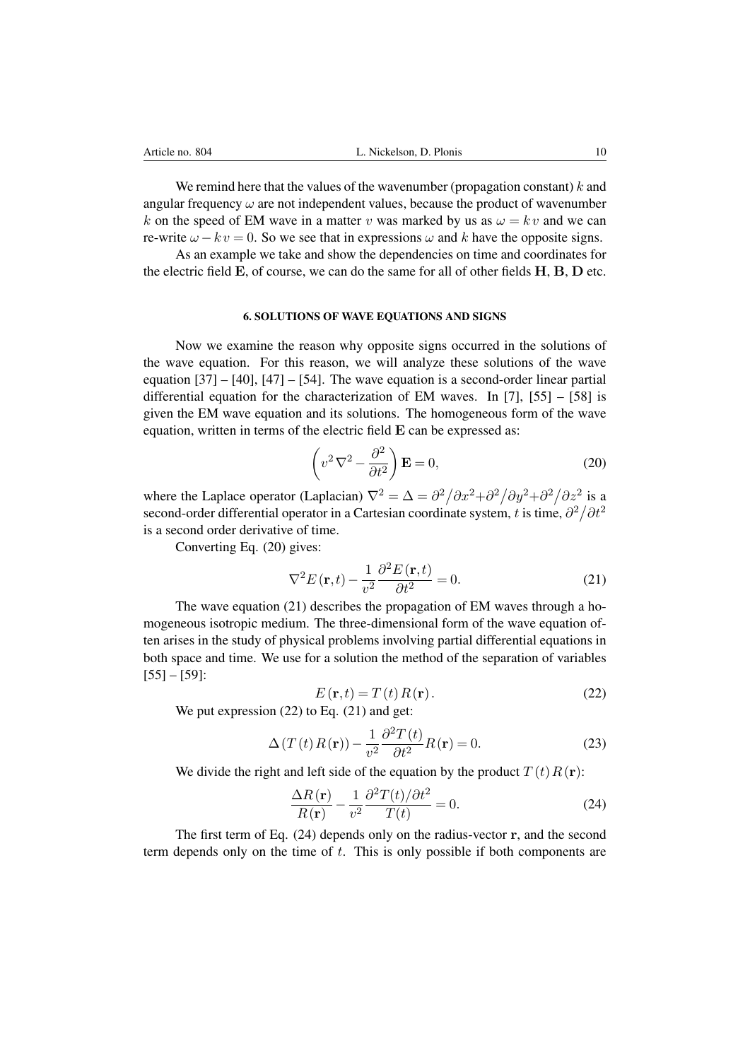We remind here that the values of the wavenumber (propagation constant)  $k$  and angular frequency  $\omega$  are not independent values, because the product of wavenumber k on the speed of EM wave in a matter v was marked by us as  $\omega = kv$  and we can re-write  $\omega - k v = 0$ . So we see that in expressions  $\omega$  and k have the opposite signs.

As an example we take and show the dependencies on time and coordinates for the electric field E, of course, we can do the same for all of other fields H, B, D etc.

### 6. SOLUTIONS OF WAVE EQUATIONS AND SIGNS

Now we examine the reason why opposite signs occurred in the solutions of the wave equation. For this reason, we will analyze these solutions of the wave equation  $[37] - [40]$  $[37] - [40]$  $[37] - [40]$ ,  $[47] - [54]$  $[47] - [54]$  $[47] - [54]$ . The wave equation is a second-order linear partial differential equation for the characterization of EM waves. In [\[7\]](#page-14-3), [\[55\]](#page-17-0) – [\[58\]](#page-17-1) is given the EM wave equation and its solutions. The homogeneous form of the wave equation, written in terms of the electric field E can be expressed as:

$$
\left(v^2 \nabla^2 - \frac{\partial^2}{\partial t^2}\right) \mathbf{E} = 0,
$$
\n(20)

where the Laplace operator (Laplacian)  $\nabla^2 = \Delta = \frac{\partial^2}{\partial x^2} + \frac{\partial^2}{\partial y^2} + \frac{\partial^2}{\partial z^2}$  is a second-order differential operator in a Cartesian coordinate system, t is time,  $\partial^2/\partial t^2$ is a second order derivative of time.

Converting Eq. (20) gives:

$$
\nabla^2 E(\mathbf{r}, t) - \frac{1}{v^2} \frac{\partial^2 E(\mathbf{r}, t)}{\partial t^2} = 0.
$$
 (21)

The wave equation (21) describes the propagation of EM waves through a homogeneous isotropic medium. The three-dimensional form of the wave equation often arises in the study of physical problems involving partial differential equations in both space and time. We use for a solution the method of the separation of variables [\[55\]](#page-17-0) – [\[59\]](#page-17-2):

$$
E(\mathbf{r},t) = T(t)R(\mathbf{r}).
$$
\n(22)

We put expression (22) to Eq. (21) and get:

$$
\Delta(T(t)R(\mathbf{r})) - \frac{1}{v^2} \frac{\partial^2 T(t)}{\partial t^2} R(\mathbf{r}) = 0.
$$
 (23)

We divide the right and left side of the equation by the product  $T(t)R(r)$ :

$$
\frac{\Delta R(\mathbf{r})}{R(\mathbf{r})} - \frac{1}{v^2} \frac{\partial^2 T(t)/\partial t^2}{T(t)} = 0.
$$
\n(24)

The first term of Eq. (24) depends only on the radius-vector r, and the second term depends only on the time of t. This is only possible if both components are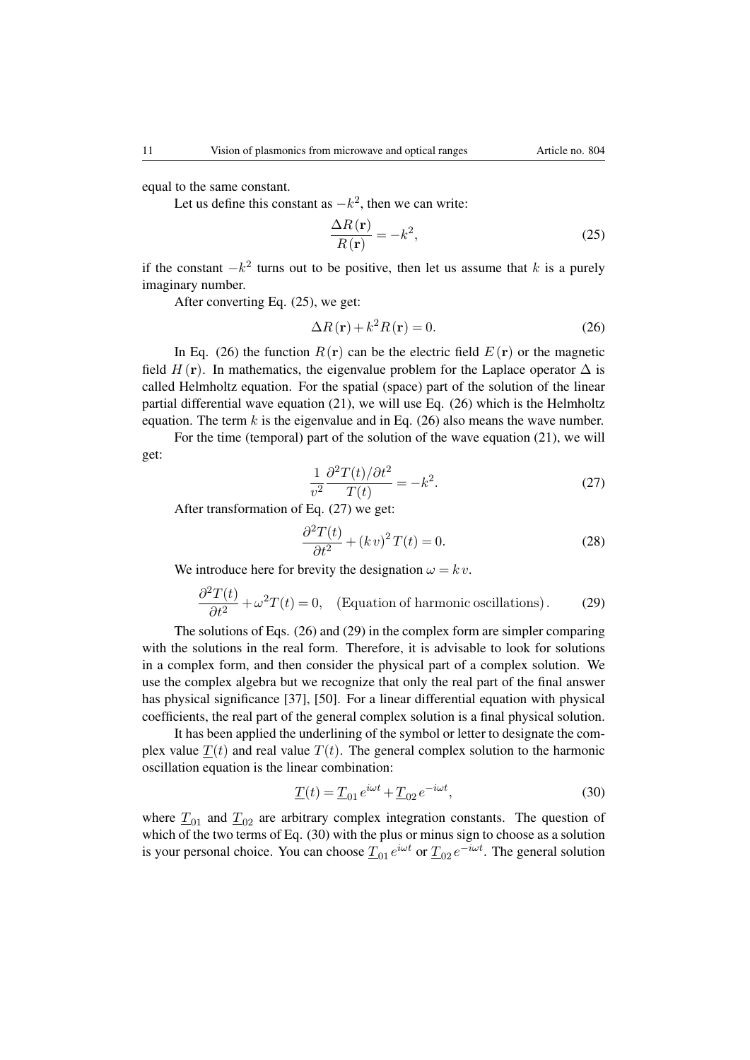equal to the same constant.

Let us define this constant as  $-k^2$ , then we can write:

$$
\frac{\Delta R(\mathbf{r})}{R(\mathbf{r})} = -k^2,\tag{25}
$$

if the constant  $-k^2$  turns out to be positive, then let us assume that k is a purely imaginary number.

After converting Eq. (25), we get:

$$
\Delta R(\mathbf{r}) + k^2 R(\mathbf{r}) = 0.
$$
 (26)

In Eq. (26) the function  $R(\mathbf{r})$  can be the electric field  $E(\mathbf{r})$  or the magnetic field  $H(\mathbf{r})$ . In mathematics, the eigenvalue problem for the Laplace operator  $\Delta$  is called Helmholtz equation. For the spatial (space) part of the solution of the linear partial differential wave equation (21), we will use Eq. (26) which is the Helmholtz equation. The term k is the eigenvalue and in Eq.  $(26)$  also means the wave number.

For the time (temporal) part of the solution of the wave equation (21), we will get:

$$
\frac{1}{v^2} \frac{\partial^2 T(t)/\partial t^2}{T(t)} = -k^2.
$$
\n(27)

After transformation of Eq. (27) we get:

$$
\frac{\partial^2 T(t)}{\partial t^2} + (kv)^2 T(t) = 0.
$$
\n(28)

We introduce here for brevity the designation  $\omega = k v$ .

$$
\frac{\partial^2 T(t)}{\partial t^2} + \omega^2 T(t) = 0, \quad \text{(Equation of harmonic oscillations)}.
$$
 (29)

The solutions of Eqs. (26) and (29) in the complex form are simpler comparing with the solutions in the real form. Therefore, it is advisable to look for solutions in a complex form, and then consider the physical part of a complex solution. We use the complex algebra but we recognize that only the real part of the final answer has physical significance [\[37\]](#page-16-5), [\[50\]](#page-16-18). For a linear differential equation with physical coefficients, the real part of the general complex solution is a final physical solution.

It has been applied the underlining of the symbol or letter to designate the complex value  $T(t)$  and real value  $T(t)$ . The general complex solution to the harmonic oscillation equation is the linear combination:

$$
\underline{T}(t) = \underline{T}_{01} e^{i\omega t} + \underline{T}_{02} e^{-i\omega t},\tag{30}
$$

where  $T_{01}$  and  $T_{02}$  are arbitrary complex integration constants. The question of which of the two terms of Eq. (30) with the plus or minus sign to choose as a solution is your personal choice. You can choose  $\underline{T}_{01}e^{i\omega t}$  or  $\underline{T}_{02}e^{-i\omega t}$ . The general solution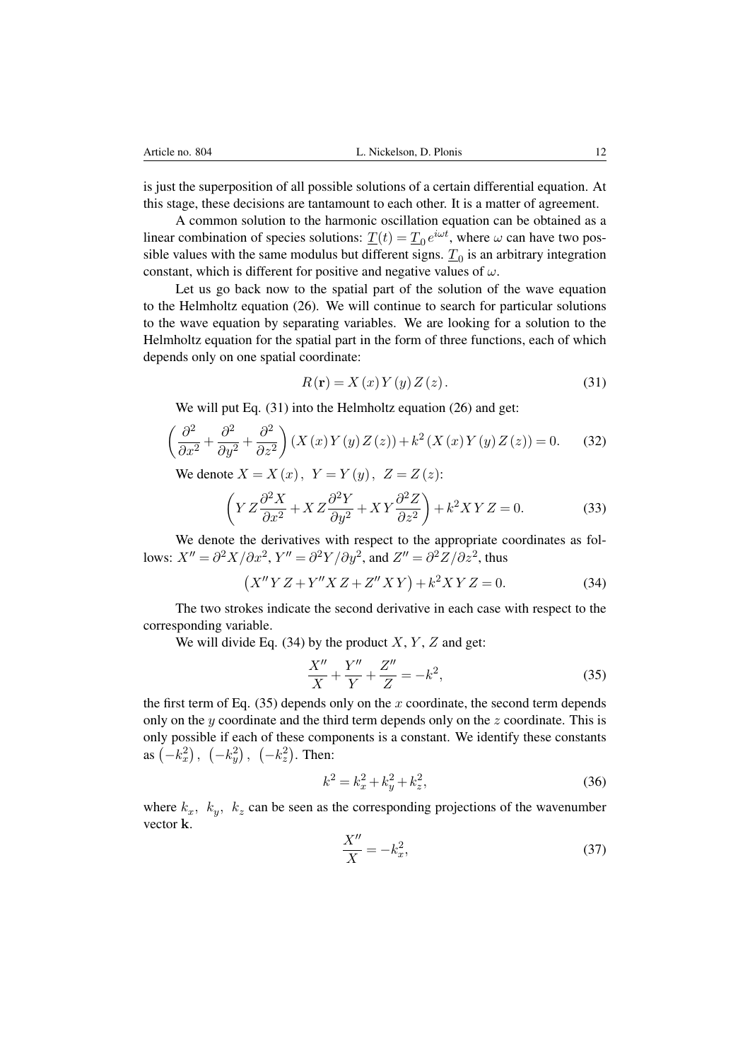is just the superposition of all possible solutions of a certain differential equation. At this stage, these decisions are tantamount to each other. It is a matter of agreement.

A common solution to the harmonic oscillation equation can be obtained as a linear combination of species solutions:  $\underline{T}(t) = \underline{T}_0 e^{i\omega t}$ , where  $\omega$  can have two possible values with the same modulus but different signs.  $T_0$  is an arbitrary integration constant, which is different for positive and negative values of  $\omega$ .

Let us go back now to the spatial part of the solution of the wave equation to the Helmholtz equation (26). We will continue to search for particular solutions to the wave equation by separating variables. We are looking for a solution to the Helmholtz equation for the spatial part in the form of three functions, each of which depends only on one spatial coordinate:

$$
R(\mathbf{r}) = X(x)Y(y)Z(z).
$$
 (31)

We will put Eq. (31) into the Helmholtz equation (26) and get:

$$
\left(\frac{\partial^2}{\partial x^2} + \frac{\partial^2}{\partial y^2} + \frac{\partial^2}{\partial z^2}\right) \left(X\left(x\right)Y\left(y\right)Z\left(z\right)\right) + k^2 \left(X\left(x\right)Y\left(y\right)Z\left(z\right)\right) = 0. \tag{32}
$$

We denote  $X = X(x)$ ,  $Y = Y(y)$ ,  $Z = Z(z)$ :

$$
\left(YZ\frac{\partial^2 X}{\partial x^2} + XZ\frac{\partial^2 Y}{\partial y^2} + XY\frac{\partial^2 Z}{\partial z^2}\right) + k^2XYZ = 0.
$$
 (33)

We denote the derivatives with respect to the appropriate coordinates as follows:  $X'' = \partial^2 X/\partial x^2$ ,  $Y'' = \partial^2 Y/\partial y^2$ , and  $Z'' = \partial^2 Z/\partial z^2$ , thus

$$
(X''YZ + Y''XZ + Z''XY) + k^2XYZ = 0.
$$
 (34)

The two strokes indicate the second derivative in each case with respect to the corresponding variable.

We will divide Eq.  $(34)$  by the product X, Y, Z and get:

$$
\frac{X''}{X} + \frac{Y''}{Y} + \frac{Z''}{Z} = -k^2,
$$
\n(35)

the first term of Eq.  $(35)$  depends only on the x coordinate, the second term depends only on the  $y$  coordinate and the third term depends only on the  $z$  coordinate. This is only possible if each of these components is a constant. We identify these constants as  $(-k_x^2)$ ,  $(-k_y^2)$ ,  $(-k_z^2)$ . Then:

$$
k^2 = k_x^2 + k_y^2 + k_z^2,\tag{36}
$$

where  $k_x$ ,  $k_y$ ,  $k_z$  can be seen as the corresponding projections of the wavenumber vector k.

$$
\frac{X''}{X} = -k_x^2,\tag{37}
$$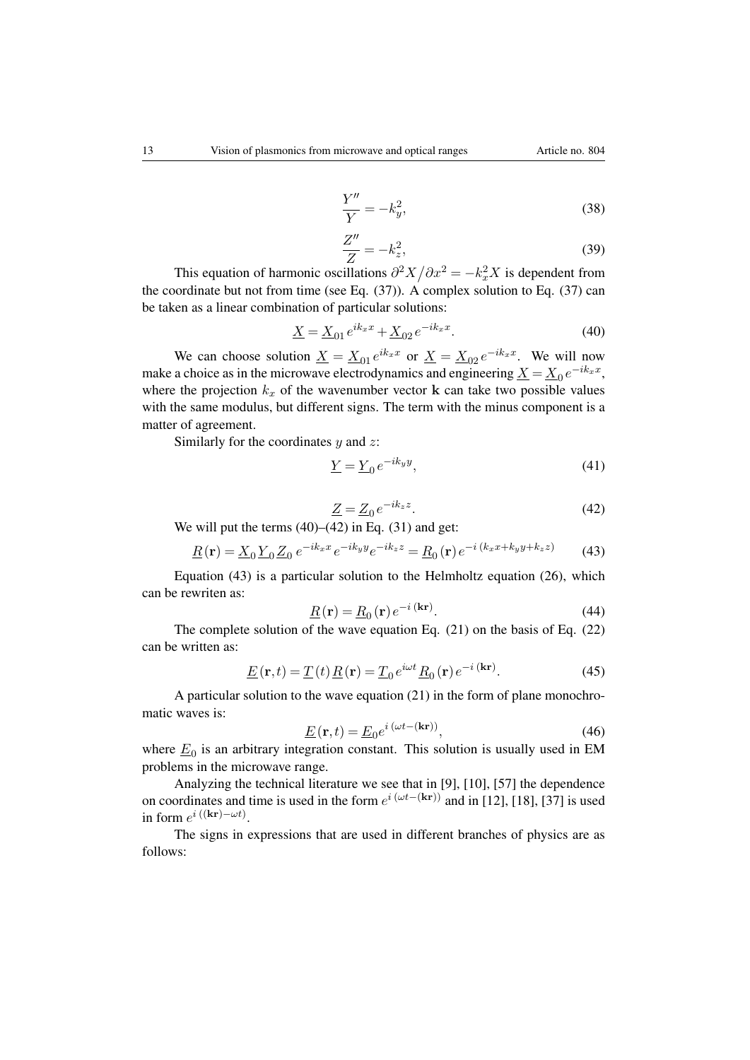$$
f_{\rm{max}}(x)
$$

$$
\frac{Y''}{Y} = -k_y^2,\tag{38}
$$

$$
\frac{Z''}{Z} = -k_z^2,\tag{39}
$$

This equation of harmonic oscillations  $\partial^2 X / \partial x^2 = -k_x^2 X$  is dependent from the coordinate but not from time (see Eq. (37)). A complex solution to Eq. (37) can be taken as a linear combination of particular solutions:

$$
\underline{X} = \underline{X}_{01} e^{ik_x x} + \underline{X}_{02} e^{-ik_x x}.
$$
\n(40)

We can choose solution  $\underline{X} = \underline{X}_{01} e^{ik_x x}$  or  $\underline{X} = \underline{X}_{02} e^{-ik_x x}$ . We will now make a choice as in the microwave electrodynamics and engineering  $\underline{X} = \underline{X}_0 e^{-ik_x x}$ , where the projection  $k_x$  of the wavenumber vector **k** can take two possible values with the same modulus, but different signs. The term with the minus component is a matter of agreement.

Similarly for the coordinates  $y$  and  $z$ :

$$
\underline{Y} = \underline{Y}_0 e^{-ik_y y},\tag{41}
$$

$$
\underline{Z} = \underline{Z}_0 e^{-ik_z z}.\tag{42}
$$

We will put the terms  $(40)$ – $(42)$  in Eq.  $(31)$  and get:

$$
\underline{R}(\mathbf{r}) = \underline{X}_0 \underline{Y}_0 \underline{Z}_0 e^{-ik_x x} e^{-ik_y y} e^{-ik_z z} = \underline{R}_0(\mathbf{r}) e^{-i (k_x x + k_y y + k_z z)}
$$
(43)

Equation (43) is a particular solution to the Helmholtz equation (26), which can be rewriten as:

$$
\underline{R}(\mathbf{r}) = \underline{R}_0(\mathbf{r}) e^{-i(\mathbf{kr})}.
$$
\n(44)

The complete solution of the wave equation Eq. (21) on the basis of Eq. (22) can be written as:

$$
\underline{E}(\mathbf{r},t) = \underline{T}(t)\underline{R}(\mathbf{r}) = \underline{T}_0 e^{i\omega t} \underline{R}_0(\mathbf{r}) e^{-i(\mathbf{kr})}.
$$
 (45)

A particular solution to the wave equation (21) in the form of plane monochromatic waves is:

$$
\underline{E}(\mathbf{r},t) = \underline{E}_0 e^{i(\omega t - (\mathbf{kr}))},\tag{46}
$$

where  $\underline{E}_0$  is an arbitrary integration constant. This solution is usually used in EM problems in the microwave range.

Analyzing the technical literature we see that in [\[9\]](#page-14-5), [\[10\]](#page-15-0), [\[57\]](#page-17-3) the dependence on coordinates and time is used in the form  $e^{i(\omega t - (\mathbf{kr}))}$  and in [\[12\]](#page-15-2), [\[18\]](#page-15-4), [\[37\]](#page-16-5) is used in form  $e^{i((\mathbf{kr}) - \omega t)}$ .

The signs in expressions that are used in different branches of physics are as follows: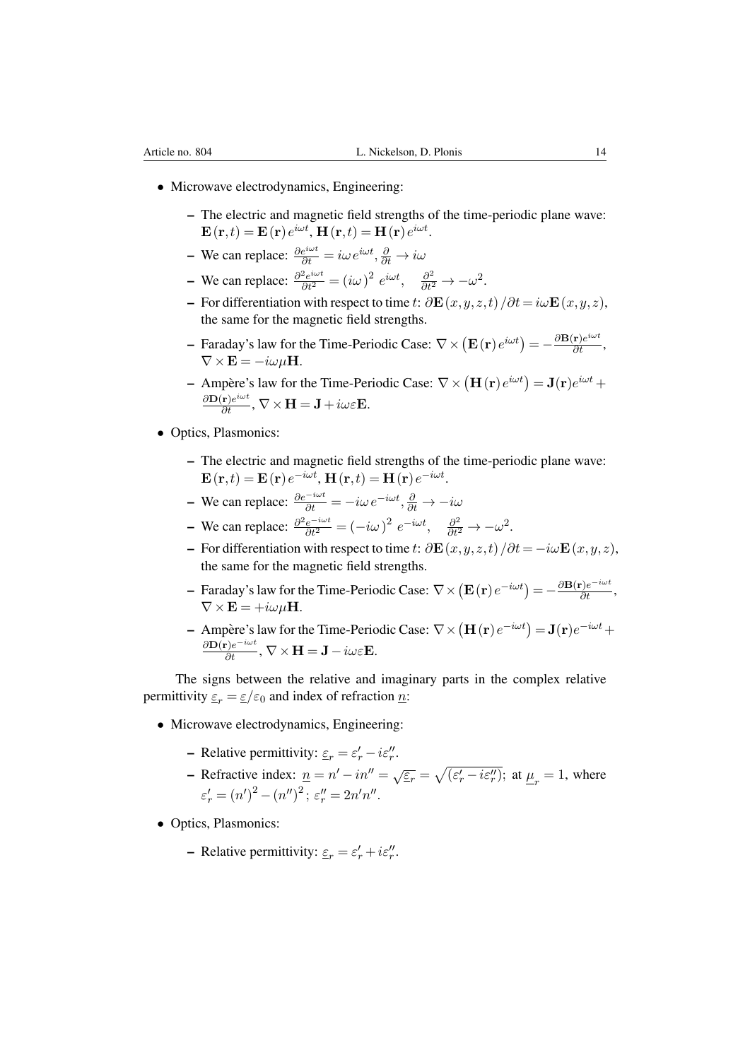- Microwave electrodynamics, Engineering:
	- The electric and magnetic field strengths of the time-periodic plane wave:  $\mathbf{E}\left(\mathbf{r},t\right)=\mathbf{E}\left(\mathbf{r}\right)e^{i\omega t}$ ,  $\mathbf{H}\left(\mathbf{r},t\right)=\mathbf{H}\left(\mathbf{r}\right)e^{i\omega t}$ .
	- We can replace:  $\frac{\partial e^{i\omega t}}{\partial t} = i\omega e^{i\omega t}, \frac{\partial}{\partial t} \to i\omega$
	- We can replace:  $\frac{\partial^2 e^{i\omega t}}{\partial t^2} = (i\omega)^2 e^{i\omega t}, \quad \frac{\partial^2}{\partial t^2} \to -\omega^2$ .
	- For differentiation with respect to time t:  $\partial \mathbf{E}(x,y,z,t)/\partial t = i\omega \mathbf{E}(x,y,z)$ , the same for the magnetic field strengths.
	- Faraday's law for the Time-Periodic Case:  $\nabla \times (\mathbf{E}(\mathbf{r})e^{i\omega t}) = -\frac{\partial \mathbf{B}(\mathbf{r})e^{i\omega t}}{\partial t}$ ,  $\nabla \times \mathbf{E} = -i\omega\mu\mathbf{H}.$
	- Ampère's law for the Time-Periodic Case:  $\nabla \times (\mathbf{H}(\mathbf{r})e^{i\omega t}) = \mathbf{J}(\mathbf{r})e^{i\omega t} +$  $\frac{\partial \mathbf{D}(\mathbf{r}) e^{i \omega t}}{\partial t}$ ,  $\nabla \times \mathbf{H} = \mathbf{J} + i \omega \varepsilon \mathbf{E}$ .
- Optics, Plasmonics:
	- The electric and magnetic field strengths of the time-periodic plane wave:  $\mathbf{E}\left(\mathbf{r},t\right)=\mathbf{E}\left(\mathbf{r}\right)e^{-i\omega t}$ ,  $\mathbf{H}\left(\mathbf{r},t\right)=\mathbf{H}\left(\mathbf{r}\right)e^{-i\omega t}$ .
	- We can replace:  $\frac{\partial e^{-i\omega t}}{\partial t} = -i\omega e^{-i\omega t}, \frac{\partial}{\partial t} \to -i\omega$
	- We can replace:  $\frac{\partial^2 e^{-i\omega t}}{\partial t^2} = (-i\omega)^2 e^{-i\omega t}, \quad \frac{\partial^2}{\partial t^2} \to -\omega^2$ .
	- For differentiation with respect to time t:  $\partial \mathbf{E}(x,y,z,t)/\partial t = -i\omega \mathbf{E}(x,y,z)$ , the same for the magnetic field strengths.
	- Faraday's law for the Time-Periodic Case:  $\nabla \times (\mathbf{E}(\mathbf{r})e^{-i\omega t}) = -\frac{\partial \mathbf{B}(\mathbf{r})e^{-i\omega t}}{\partial t}$ ,  $\nabla \times \mathbf{E} = +i\omega\mu\mathbf{H}.$
	- Ampère's law for the Time-Periodic Case:  $\nabla \times (\mathbf{H}(\mathbf{r})e^{-i\omega t}) = \mathbf{J}(\mathbf{r})e^{-i\omega t} +$  $\frac{\partial \mathbf{D}(\mathbf{r}) e^{-i\omega t}}{\partial t}$ ,  $\nabla \times \mathbf{H} = \mathbf{J} - i\omega \varepsilon \mathbf{E}$ .

The signs between the relative and imaginary parts in the complex relative permittivity  $\varepsilon_r = \varepsilon/\varepsilon_0$  and index of refraction n:

- Microwave electrodynamics, Engineering:
	- Relative permittivity:  $\varepsilon_r = \varepsilon'_r i\varepsilon''_r$ .
	- Refractive index:  $\underline{n} = n' in'' = \sqrt{\varepsilon_r} = \sqrt{(\varepsilon_r' i\varepsilon_r'')}$ ; at  $\underline{\mu}_r = 1$ , where  $\varepsilon'_{r} = (n')^{2} - (n'')^{2}; \, \varepsilon''_{r} = 2n'n''.$
- Optics, Plasmonics:
	- Relative permittivity:  $\underline{\varepsilon}_r = \varepsilon'_r + i\varepsilon''_r$ .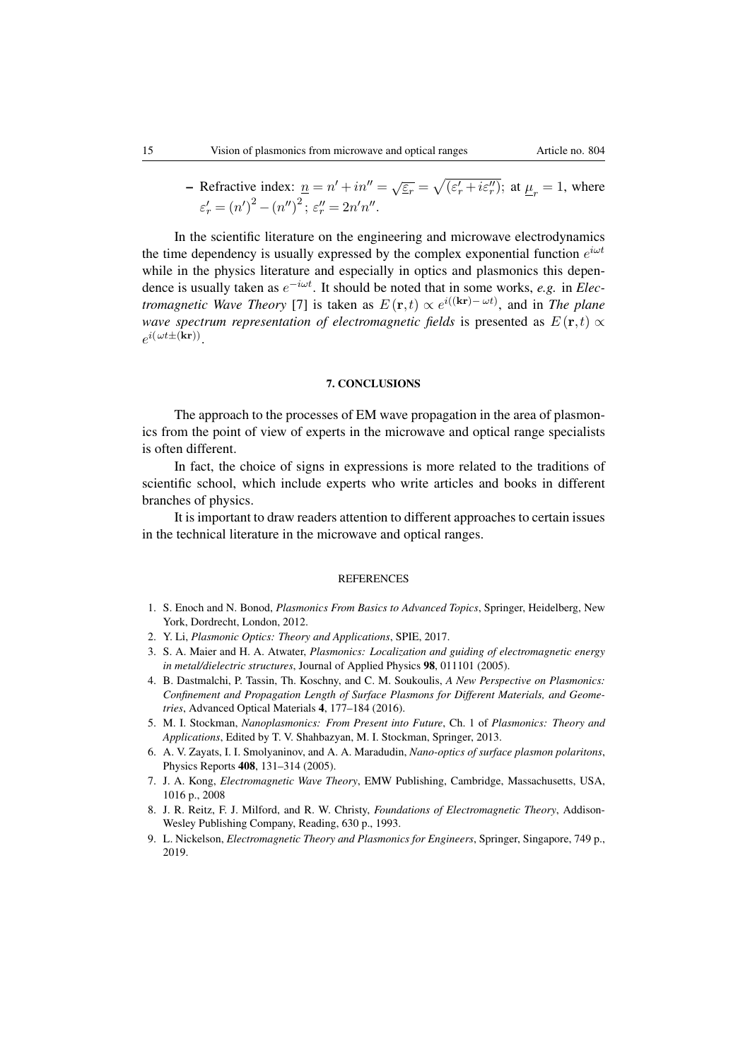- Refractive index:  $\underline{n} = n' + in'' = \sqrt{\varepsilon_r} = \sqrt{(\varepsilon_r' + i\varepsilon_r'')};$  at  $\underline{\mu}_r = 1$ , where  $\varepsilon'_{r} = (n')^{2} - (n'')^{2}; \, \varepsilon''_{r} = 2n'n''.$ 

In the scientific literature on the engineering and microwave electrodynamics the time dependency is usually expressed by the complex exponential function  $e^{i\omega t}$ while in the physics literature and especially in optics and plasmonics this dependence is usually taken as  $e^{-i\omega t}$ . It should be noted that in some works, *e.g.* in *Electromagnetic Wave Theory* [\[7\]](#page-14-3) is taken as  $E(\mathbf{r},t) \propto e^{i((\mathbf{kr}) - \omega t)}$ , and in *The plane wave spectrum representation of electromagnetic fields* is presented as  $E(\mathbf{r},t) \propto$  $e^{i(\omega t \pm (\mathbf{kr}))}$ .

#### 7. CONCLUSIONS

The approach to the processes of EM wave propagation in the area of plasmonics from the point of view of experts in the microwave and optical range specialists is often different.

In fact, the choice of signs in expressions is more related to the traditions of scientific school, which include experts who write articles and books in different branches of physics.

It is important to draw readers attention to different approaches to certain issues in the technical literature in the microwave and optical ranges.

## REFERENCES

- <span id="page-14-0"></span>1. S. Enoch and N. Bonod, *Plasmonics From Basics to Advanced Topics*, Springer, Heidelberg, New York, Dordrecht, London, 2012.
- 2. Y. Li, *Plasmonic Optics: Theory and Applications*, SPIE, 2017.
- 3. S. A. Maier and H. A. Atwater, *Plasmonics: Localization and guiding of electromagnetic energy in metal/dielectric structures*, Journal of Applied Physics 98, 011101 (2005).
- <span id="page-14-6"></span>4. B. Dastmalchi, P. Tassin, Th. Koschny, and C. M. Soukoulis, *A New Perspective on Plasmonics: Confinement and Propagation Length of Surface Plasmons for Different Materials, and Geometries*, Advanced Optical Materials 4, 177–184 (2016).
- <span id="page-14-1"></span>5. M. I. Stockman, *Nanoplasmonics: From Present into Future*, Ch. 1 of *Plasmonics: Theory and Applications*, Edited by T. V. Shahbazyan, M. I. Stockman, Springer, 2013.
- <span id="page-14-2"></span>6. A. V. Zayats, I. I. Smolyaninov, and A. A. Maradudin, *Nano-optics of surface plasmon polaritons*, Physics Reports 408, 131–314 (2005).
- <span id="page-14-3"></span>7. J. A. Kong, *Electromagnetic Wave Theory*, EMW Publishing, Cambridge, Massachusetts, USA, 1016 p., 2008
- <span id="page-14-4"></span>8. J. R. Reitz, F. J. Milford, and R. W. Christy, *Foundations of Electromagnetic Theory*, Addison-Wesley Publishing Company, Reading, 630 p., 1993.
- <span id="page-14-5"></span>9. L. Nickelson, *Electromagnetic Theory and Plasmonics for Engineers*, Springer, Singapore, 749 p., 2019.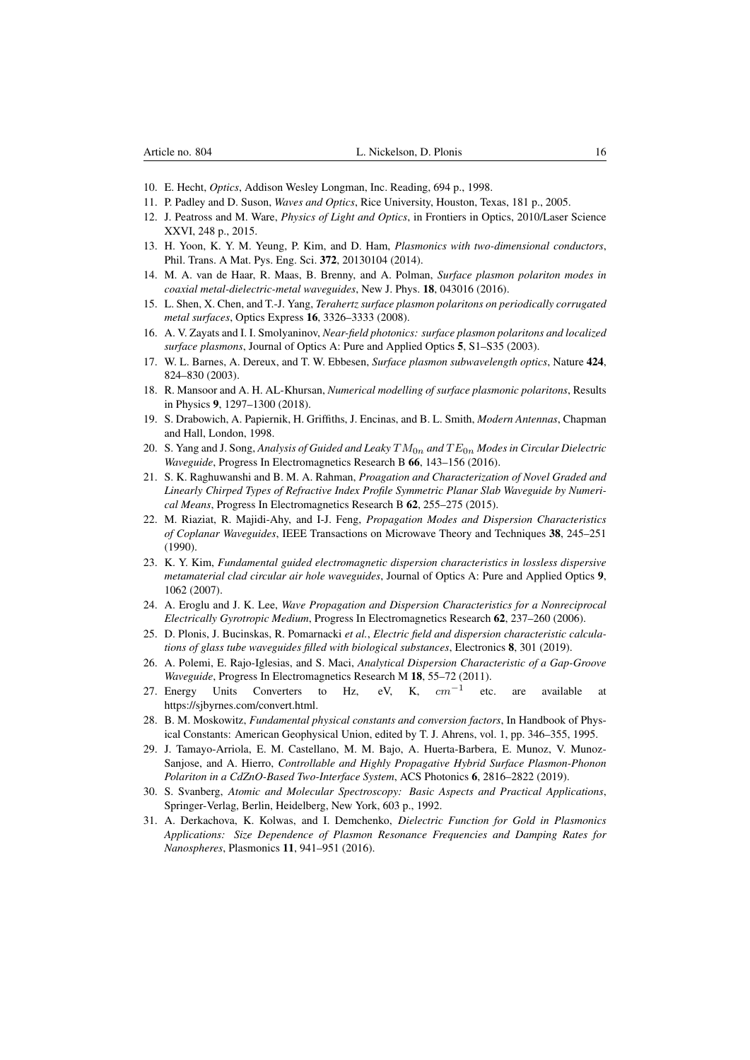- <span id="page-15-0"></span>10. E. Hecht, *Optics*, Addison Wesley Longman, Inc. Reading, 694 p., 1998.
- <span id="page-15-1"></span>11. P. Padley and D. Suson, *Waves and Optics*, Rice University, Houston, Texas, 181 p., 2005.
- <span id="page-15-2"></span>12. J. Peatross and M. Ware, *Physics of Light and Optics*, in Frontiers in Optics, 2010/Laser Science XXVI, 248 p., 2015.
- <span id="page-15-3"></span>13. H. Yoon, K. Y. M. Yeung, P. Kim, and D. Ham, *Plasmonics with two-dimensional conductors*, Phil. Trans. A Mat. Pys. Eng. Sci. 372, 20130104 (2014).
- 14. M. A. van de Haar, R. Maas, B. Brenny, and A. Polman, *Surface plasmon polariton modes in coaxial metal-dielectric-metal waveguides*, New J. Phys. 18, 043016 (2016).
- 15. L. Shen, X. Chen, and T.-J. Yang, *Terahertz surface plasmon polaritons on periodically corrugated metal surfaces*, Optics Express 16, 3326–3333 (2008).
- 16. A. V. Zayats and I. I. Smolyaninov, *Near-field photonics: surface plasmon polaritons and localized surface plasmons*, Journal of Optics A: Pure and Applied Optics 5, S1–S35 (2003).
- 17. W. L. Barnes, A. Dereux, and T. W. Ebbesen, *Surface plasmon subwavelength optics*, Nature 424, 824–830 (2003).
- <span id="page-15-4"></span>18. R. Mansoor and A. H. AL-Khursan, *Numerical modelling of surface plasmonic polaritons*, Results in Physics 9, 1297–1300 (2018).
- <span id="page-15-5"></span>19. S. Drabowich, A. Papiernik, H. Griffiths, J. Encinas, and B. L. Smith, *Modern Antennas*, Chapman and Hall, London, 1998.
- 20. S. Yang and J. Song, *Analysis of Guided and Leaky* TM0n *and* T E0n *Modes in Circular Dielectric Waveguide*, Progress In Electromagnetics Research B 66, 143–156 (2016).
- 21. S. K. Raghuwanshi and B. M. A. Rahman, *Proagation and Characterization of Novel Graded and Linearly Chirped Types of Refractive Index Profile Symmetric Planar Slab Waveguide by Numerical Means*, Progress In Electromagnetics Research B 62, 255–275 (2015).
- 22. M. Riaziat, R. Majidi-Ahy, and I-J. Feng, *Propagation Modes and Dispersion Characteristics of Coplanar Waveguides*, IEEE Transactions on Microwave Theory and Techniques 38, 245–251 (1990).
- 23. K. Y. Kim, *Fundamental guided electromagnetic dispersion characteristics in lossless dispersive metamaterial clad circular air hole waveguides*, Journal of Optics A: Pure and Applied Optics 9, 1062 (2007).
- 24. A. Eroglu and J. K. Lee, *Wave Propagation and Dispersion Characteristics for a Nonreciprocal Electrically Gyrotropic Medium*, Progress In Electromagnetics Research 62, 237–260 (2006).
- <span id="page-15-6"></span>25. D. Plonis, J. Bucinskas, R. Pomarnacki *et al.*, *Electric field and dispersion characteristic calculations of glass tube waveguides filled with biological substances*, Electronics 8, 301 (2019).
- <span id="page-15-7"></span>26. A. Polemi, E. Rajo-Iglesias, and S. Maci, *Analytical Dispersion Characteristic of a Gap-Groove Waveguide*, Progress In Electromagnetics Research M 18, 55–72 (2011).<br>Energy Units Converters to Hz, eV, K,  $cm^{-1}$  etc
- <span id="page-15-8"></span>27. Energy Units Converters to Hz, eV, K, etc. are available at https://sjbyrnes.com/convert.html.
- <span id="page-15-9"></span>28. B. M. Moskowitz, *Fundamental physical constants and conversion factors*, In Handbook of Physical Constants: American Geophysical Union, edited by T. J. Ahrens, vol. 1, pp. 346–355, 1995.
- 29. J. Tamayo-Arriola, E. M. Castellano, M. M. Bajo, A. Huerta-Barbera, E. Munoz, V. Munoz-Sanjose, and A. Hierro, *Controllable and Highly Propagative Hybrid Surface Plasmon-Phonon Polariton in a CdZnO-Based Two-Interface System*, ACS Photonics 6, 2816–2822 (2019).
- 30. S. Svanberg, *Atomic and Molecular Spectroscopy: Basic Aspects and Practical Applications*, Springer-Verlag, Berlin, Heidelberg, New York, 603 p., 1992.
- <span id="page-15-10"></span>31. A. Derkachova, K. Kolwas, and I. Demchenko, *Dielectric Function for Gold in Plasmonics Applications: Size Dependence of Plasmon Resonance Frequencies and Damping Rates for Nanospheres*, Plasmonics 11, 941–951 (2016).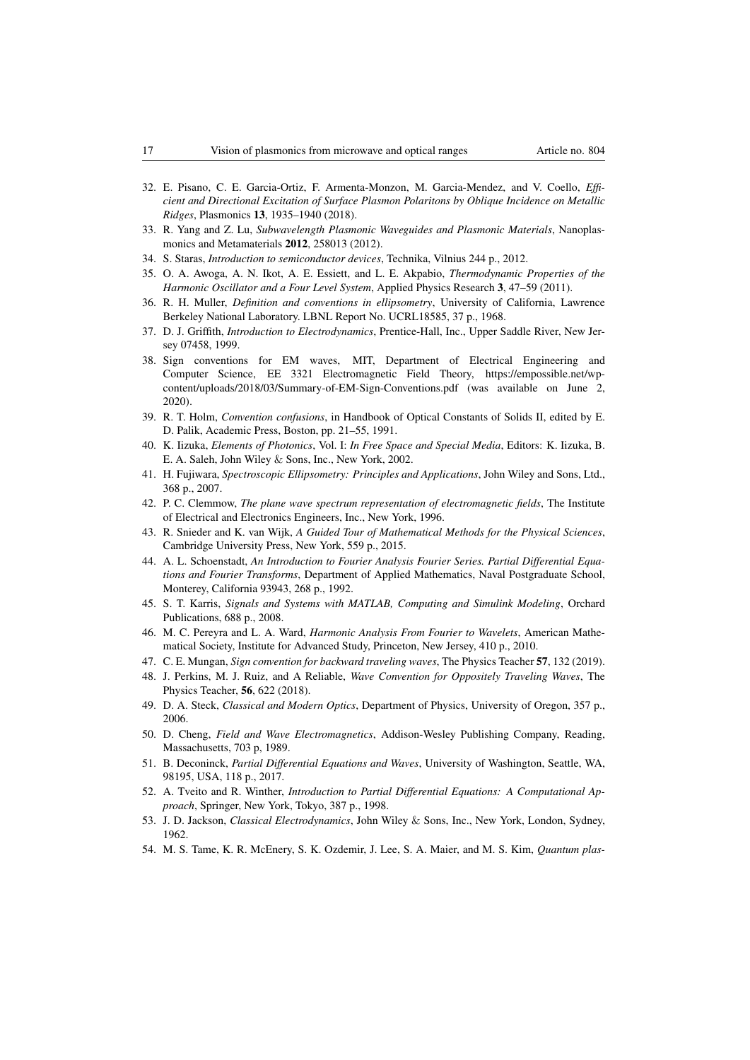- <span id="page-16-0"></span>32. E. Pisano, C. E. Garcia-Ortiz, F. Armenta-Monzon, M. Garcia-Mendez, and V. Coello, *Efficient and Directional Excitation of Surface Plasmon Polaritons by Oblique Incidence on Metallic Ridges*, Plasmonics 13, 1935–1940 (2018).
- <span id="page-16-1"></span>33. R. Yang and Z. Lu, *Subwavelength Plasmonic Waveguides and Plasmonic Materials*, Nanoplasmonics and Metamaterials 2012, 258013 (2012).
- <span id="page-16-2"></span>34. S. Staras, *Introduction to semiconductor devices*, Technika, Vilnius 244 p., 2012.
- <span id="page-16-3"></span>35. O. A. Awoga, A. N. Ikot, A. E. Essiett, and L. E. Akpabio, *Thermodynamic Properties of the Harmonic Oscillator and a Four Level System*, Applied Physics Research 3, 47–59 (2011).
- <span id="page-16-4"></span>36. R. H. Muller, *Definition and conventions in ellipsometry*, University of California, Lawrence Berkeley National Laboratory. LBNL Report No. UCRL18585, 37 p., 1968.
- <span id="page-16-5"></span>37. D. J. Griffith, *Introduction to Electrodynamics*, Prentice-Hall, Inc., Upper Saddle River, New Jersey 07458, 1999.
- <span id="page-16-6"></span>38. Sign conventions for EM waves, MIT, Department of Electrical Engineering and Computer Science, EE 3321 Electromagnetic Field Theory, https://empossible.net/wpcontent/uploads/2018/03/Summary-of-EM-Sign-Conventions.pdf (was available on June 2, 2020).
- <span id="page-16-7"></span>39. R. T. Holm, *Convention confusions*, in Handbook of Optical Constants of Solids II, edited by E. D. Palik, Academic Press, Boston, pp. 21–55, 1991.
- <span id="page-16-8"></span>40. K. Iizuka, *Elements of Photonics*, Vol. I: *In Free Space and Special Media*, Editors: K. Iizuka, B. E. A. Saleh, John Wiley & Sons, Inc., New York, 2002.
- <span id="page-16-9"></span>41. H. Fujiwara, *Spectroscopic Ellipsometry: Principles and Applications*, John Wiley and Sons, Ltd., 368 p., 2007.
- <span id="page-16-10"></span>42. P. C. Clemmow, *The plane wave spectrum representation of electromagnetic fields*, The Institute of Electrical and Electronics Engineers, Inc., New York, 1996.
- <span id="page-16-11"></span>43. R. Snieder and K. van Wijk, *A Guided Tour of Mathematical Methods for the Physical Sciences*, Cambridge University Press, New York, 559 p., 2015.
- <span id="page-16-12"></span>44. A. L. Schoenstadt, *An Introduction to Fourier Analysis Fourier Series. Partial Differential Equations and Fourier Transforms*, Department of Applied Mathematics, Naval Postgraduate School, Monterey, California 93943, 268 p., 1992.
- 45. S. T. Karris, *Signals and Systems with MATLAB, Computing and Simulink Modeling*, Orchard Publications, 688 p., 2008.
- <span id="page-16-13"></span>46. M. C. Pereyra and L. A. Ward, *Harmonic Analysis From Fourier to Wavelets*, American Mathematical Society, Institute for Advanced Study, Princeton, New Jersey, 410 p., 2010.
- <span id="page-16-14"></span>47. C. E. Mungan, *Sign convention for backward traveling waves*, The Physics Teacher 57, 132 (2019).
- <span id="page-16-15"></span>48. J. Perkins, M. J. Ruiz, and A Reliable, *Wave Convention for Oppositely Traveling Waves*, The Physics Teacher, 56, 622 (2018).
- <span id="page-16-16"></span>49. D. A. Steck, *Classical and Modern Optics*, Department of Physics, University of Oregon, 357 p., 2006.
- <span id="page-16-18"></span>50. D. Cheng, *Field and Wave Electromagnetics*, Addison-Wesley Publishing Company, Reading, Massachusetts, 703 p, 1989.
- 51. B. Deconinck, *Partial Differential Equations and Waves*, University of Washington, Seattle, WA, 98195, USA, 118 p., 2017.
- 52. A. Tveito and R. Winther, *Introduction to Partial Differential Equations: A Computational Approach*, Springer, New York, Tokyo, 387 p., 1998.
- 53. J. D. Jackson, *Classical Electrodynamics*, John Wiley & Sons, Inc., New York, London, Sydney, 1962.
- <span id="page-16-17"></span>54. M. S. Tame, K. R. McEnery, S. K. Ozdemir, J. Lee, S. A. Maier, and M. S. Kim, *Quantum plas-*